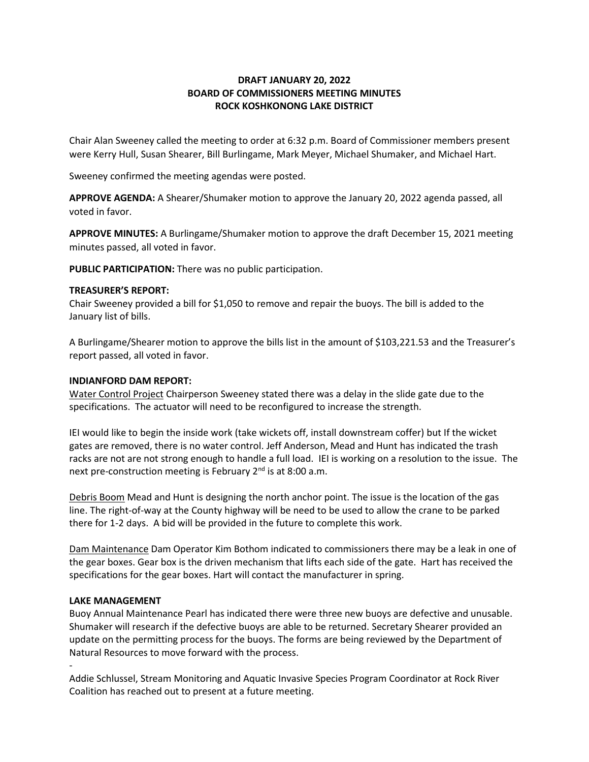# **DRAFT JANUARY 20, 2022 BOARD OF COMMISSIONERS MEETING MINUTES ROCK KOSHKONONG LAKE DISTRICT**

Chair Alan Sweeney called the meeting to order at 6:32 p.m. Board of Commissioner members present were Kerry Hull, Susan Shearer, Bill Burlingame, Mark Meyer, Michael Shumaker, and Michael Hart.

Sweeney confirmed the meeting agendas were posted.

**APPROVE AGENDA:** A Shearer/Shumaker motion to approve the January 20, 2022 agenda passed, all voted in favor.

**APPROVE MINUTES:** A Burlingame/Shumaker motion to approve the draft December 15, 2021 meeting minutes passed, all voted in favor.

**PUBLIC PARTICIPATION:** There was no public participation.

#### **TREASURER'S REPORT:**

Chair Sweeney provided a bill for \$1,050 to remove and repair the buoys. The bill is added to the January list of bills.

A Burlingame/Shearer motion to approve the bills list in the amount of \$103,221.53 and the Treasurer's report passed, all voted in favor.

## **INDIANFORD DAM REPORT:**

Water Control Project Chairperson Sweeney stated there was a delay in the slide gate due to the specifications. The actuator will need to be reconfigured to increase the strength.

IEI would like to begin the inside work (take wickets off, install downstream coffer) but If the wicket gates are removed, there is no water control. Jeff Anderson, Mead and Hunt has indicated the trash racks are not are not strong enough to handle a full load. IEI is working on a resolution to the issue. The next pre-construction meeting is February 2<sup>nd</sup> is at 8:00 a.m.

Debris Boom Mead and Hunt is designing the north anchor point. The issue is the location of the gas line. The right-of-way at the County highway will be need to be used to allow the crane to be parked there for 1-2 days. A bid will be provided in the future to complete this work.

Dam Maintenance Dam Operator Kim Bothom indicated to commissioners there may be a leak in one of the gear boxes. Gear box is the driven mechanism that lifts each side of the gate. Hart has received the specifications for the gear boxes. Hart will contact the manufacturer in spring.

# **LAKE MANAGEMENT**

-

Buoy Annual Maintenance Pearl has indicated there were three new buoys are defective and unusable. Shumaker will research if the defective buoys are able to be returned. Secretary Shearer provided an update on the permitting process for the buoys. The forms are being reviewed by the Department of Natural Resources to move forward with the process.

Addie Schlussel, Stream Monitoring and Aquatic Invasive Species Program Coordinator at Rock River Coalition has reached out to present at a future meeting.